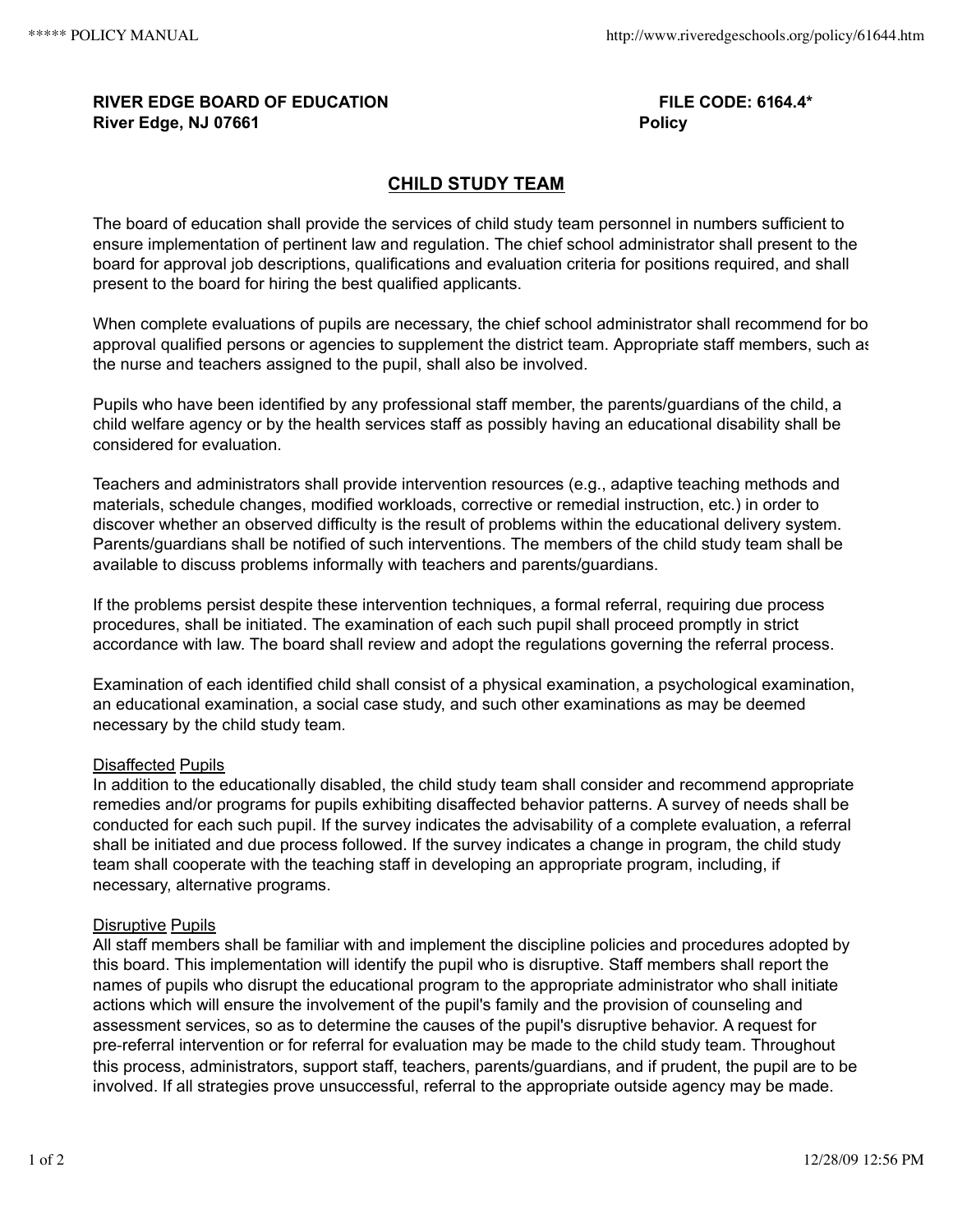## **RIVER EDGE BOARD OF EDUCATION FILE CODE: 6164.4\* River Edge, NJ 07661 Policy**

# **CHILD STUDY TEAM**

The board of education shall provide the services of child study team personnel in numbers sufficient to ensure implementation of pertinent law and regulation. The chief school administrator shall present to the board for approval job descriptions, qualifications and evaluation criteria for positions required, and shall present to the board for hiring the best qualified applicants.

When complete evaluations of pupils are necessary, the chief school administrator shall recommend for bo approval qualified persons or agencies to supplement the district team. Appropriate staff members, such as the nurse and teachers assigned to the pupil, shall also be involved.

Pupils who have been identified by any professional staff member, the parents/guardians of the child, a child welfare agency or by the health services staff as possibly having an educational disability shall be considered for evaluation.

Teachers and administrators shall provide intervention resources (e.g., adaptive teaching methods and materials, schedule changes, modified workloads, corrective or remedial instruction, etc.) in order to discover whether an observed difficulty is the result of problems within the educational delivery system. Parents/guardians shall be notified of such interventions. The members of the child study team shall be available to discuss problems informally with teachers and parents/guardians.

If the problems persist despite these intervention techniques, a formal referral, requiring due process procedures, shall be initiated. The examination of each such pupil shall proceed promptly in strict accordance with law. The board shall review and adopt the regulations governing the referral process.

Examination of each identified child shall consist of a physical examination, a psychological examination, an educational examination, a social case study, and such other examinations as may be deemed necessary by the child study team.

## Disaffected Pupils

In addition to the educationally disabled, the child study team shall consider and recommend appropriate remedies and/or programs for pupils exhibiting disaffected behavior patterns. A survey of needs shall be conducted for each such pupil. If the survey indicates the advisability of a complete evaluation, a referral shall be initiated and due process followed. If the survey indicates a change in program, the child study team shall cooperate with the teaching staff in developing an appropriate program, including, if necessary, alternative programs.

## Disruptive Pupils

All staff members shall be familiar with and implement the discipline policies and procedures adopted by this board. This implementation will identify the pupil who is disruptive. Staff members shall report the names of pupils who disrupt the educational program to the appropriate administrator who shall initiate actions which will ensure the involvement of the pupil's family and the provision of counseling and assessment services, so as to determine the causes of the pupil's disruptive behavior. A request for pre‑referral intervention or for referral for evaluation may be made to the child study team. Throughout this process, administrators, support staff, teachers, parents/guardians, and if prudent, the pupil are to be involved. If all strategies prove unsuccessful, referral to the appropriate outside agency may be made.